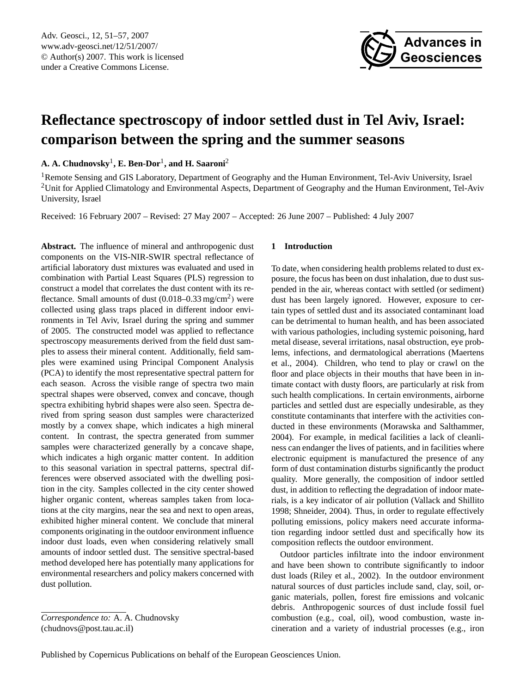

# <span id="page-0-0"></span>**Reflectance spectroscopy of indoor settled dust in Tel Aviv, Israel: comparison between the spring and the summer seasons**

**A. A. Chudnovsky**<sup>1</sup> **, E. Ben-Dor**<sup>1</sup> **, and H. Saaroni**<sup>2</sup>

<sup>1</sup>Remote Sensing and GIS Laboratory, Department of Geography and the Human Environment, Tel-Aviv University, Israel <sup>2</sup>Unit for Applied Climatology and Environmental Aspects, Department of Geography and the Human Environment, Tel-Aviv University, Israel

Received: 16 February 2007 – Revised: 27 May 2007 – Accepted: 26 June 2007 – Published: 4 July 2007

**Abstract.** The influence of mineral and anthropogenic dust components on the VIS-NIR-SWIR spectral reflectance of artificial laboratory dust mixtures was evaluated and used in combination with Partial Least Squares (PLS) regression to construct a model that correlates the dust content with its reflectance. Small amounts of dust (0.018–0.33 mg/cm<sup>2</sup>) were collected using glass traps placed in different indoor environments in Tel Aviv, Israel during the spring and summer of 2005. The constructed model was applied to reflectance spectroscopy measurements derived from the field dust samples to assess their mineral content. Additionally, field samples were examined using Principal Component Analysis (PCA) to identify the most representative spectral pattern for each season. Across the visible range of spectra two main spectral shapes were observed, convex and concave, though spectra exhibiting hybrid shapes were also seen. Spectra derived from spring season dust samples were characterized mostly by a convex shape, which indicates a high mineral content. In contrast, the spectra generated from summer samples were characterized generally by a concave shape, which indicates a high organic matter content. In addition to this seasonal variation in spectral patterns, spectral differences were observed associated with the dwelling position in the city. Samples collected in the city center showed higher organic content, whereas samples taken from locations at the city margins, near the sea and next to open areas, exhibited higher mineral content. We conclude that mineral components originating in the outdoor environment influence indoor dust loads, even when considering relatively small amounts of indoor settled dust. The sensitive spectral-based method developed here has potentially many applications for environmental researchers and policy makers concerned with dust pollution.

# **1 Introduction**

To date, when considering health problems related to dust exposure, the focus has been on dust inhalation, due to dust suspended in the air, whereas contact with settled (or sediment) dust has been largely ignored. However, exposure to certain types of settled dust and its associated contaminant load can be detrimental to human health, and has been associated with various pathologies, including systemic poisoning, hard metal disease, several irritations, nasal obstruction, eye problems, infections, and dermatological aberrations (Maertens et al., 2004). Children, who tend to play or crawl on the floor and place objects in their mouths that have been in intimate contact with dusty floors, are particularly at risk from such health complications. In certain environments, airborne particles and settled dust are especially undesirable, as they constitute contaminants that interfere with the activities conducted in these environments (Morawska and Salthammer, 2004). For example, in medical facilities a lack of cleanliness can endanger the lives of patients, and in facilities where electronic equipment is manufactured the presence of any form of dust contamination disturbs significantly the product quality. More generally, the composition of indoor settled dust, in addition to reflecting the degradation of indoor materials, is a key indicator of air pollution (Vallack and Shillito 1998; Shneider, 2004). Thus, in order to regulate effectively polluting emissions, policy makers need accurate information regarding indoor settled dust and specifically how its composition reflects the outdoor environment.

Outdoor particles infiltrate into the indoor environment and have been shown to contribute significantly to indoor dust loads (Riley et al., 2002). In the outdoor environment natural sources of dust particles include sand, clay, soil, organic materials, pollen, forest fire emissions and volcanic debris. Anthropogenic sources of dust include fossil fuel combustion (e.g., coal, oil), wood combustion, waste incineration and a variety of industrial processes (e.g., iron

*Correspondence to:* A. A. Chudnovsky (chudnovs@post.tau.ac.il)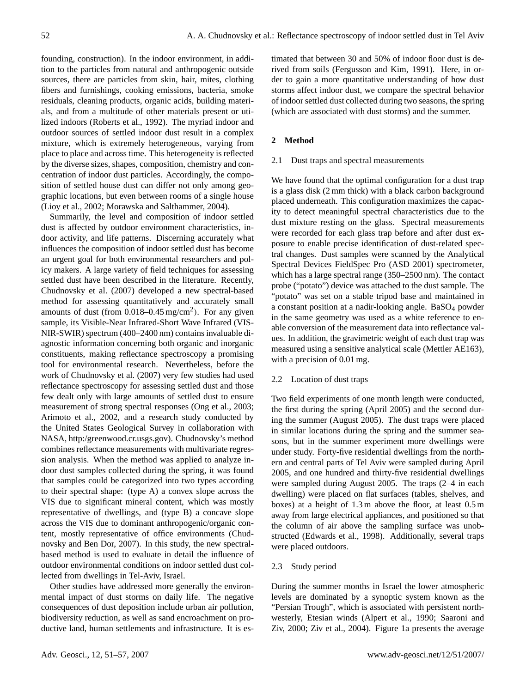founding, construction). In the indoor environment, in addition to the particles from natural and anthropogenic outside sources, there are particles from skin, hair, mites, clothing fibers and furnishings, cooking emissions, bacteria, smoke residuals, cleaning products, organic acids, building materials, and from a multitude of other materials present or utilized indoors (Roberts et al., 1992). The myriad indoor and outdoor sources of settled indoor dust result in a complex mixture, which is extremely heterogeneous, varying from place to place and across time. This heterogeneity is reflected by the diverse sizes, shapes, composition, chemistry and concentration of indoor dust particles. Accordingly, the composition of settled house dust can differ not only among geographic locations, but even between rooms of a single house (Lioy et al., 2002; Morawska and Salthammer, 2004).

Summarily, the level and composition of indoor settled dust is affected by outdoor environment characteristics, indoor activity, and life patterns. Discerning accurately what influences the composition of indoor settled dust has become an urgent goal for both environmental researchers and policy makers. A large variety of field techniques for assessing settled dust have been described in the literature. Recently, Chudnovsky et al. (2007) developed a new spectral-based method for assessing quantitatively and accurately small amounts of dust (from  $0.018 - 0.45$  mg/cm<sup>2</sup>). For any given sample, its Visible-Near Infrared-Short Wave Infrared (VIS-NIR-SWIR) spectrum (400–2400 nm) contains invaluable diagnostic information concerning both organic and inorganic constituents, making reflectance spectroscopy a promising tool for environmental research. Nevertheless, before the work of Chudnovsky et al. (2007) very few studies had used reflectance spectroscopy for assessing settled dust and those few dealt only with large amounts of settled dust to ensure measurement of strong spectral responses (Ong et al., 2003; Arimoto et al., 2002, and a research study conducted by the United States Geological Survey in collaboration with NASA, [http:/greenwood.cr.usgs.gov\)](http:/greenwood.cr.usgs.gov). Chudnovsky's method combines reflectance measurements with multivariate regression analysis. When the method was applied to analyze indoor dust samples collected during the spring, it was found that samples could be categorized into two types according to their spectral shape: (type A) a convex slope across the VIS due to significant mineral content, which was mostly representative of dwellings, and (type B) a concave slope across the VIS due to dominant anthropogenic/organic content, mostly representative of office environments (Chudnovsky and Ben Dor, 2007). In this study, the new spectralbased method is used to evaluate in detail the influence of outdoor environmental conditions on indoor settled dust collected from dwellings in Tel-Aviv, Israel.

Other studies have addressed more generally the environmental impact of dust storms on daily life. The negative consequences of dust deposition include urban air pollution, biodiversity reduction, as well as sand encroachment on productive land, human settlements and infrastructure. It is estimated that between 30 and 50% of indoor floor dust is derived from soils (Fergusson and Kim, 1991). Here, in order to gain a more quantitative understanding of how dust storms affect indoor dust, we compare the spectral behavior of indoor settled dust collected during two seasons, the spring (which are associated with dust storms) and the summer.

# **2 Method**

## 2.1 Dust traps and spectral measurements

We have found that the optimal configuration for a dust trap is a glass disk (2 mm thick) with a black carbon background placed underneath. This configuration maximizes the capacity to detect meaningful spectral characteristics due to the dust mixture resting on the glass. Spectral measurements were recorded for each glass trap before and after dust exposure to enable precise identification of dust-related spectral changes. Dust samples were scanned by the Analytical Spectral Devices FieldSpec Pro (ASD 2001) spectrometer, which has a large spectral range (350–2500 nm). The contact probe ("potato") device was attached to the dust sample. The "potato" was set on a stable tripod base and maintained in a constant position at a nadir-looking angle. BaSO<sup>4</sup> powder in the same geometry was used as a white reference to enable conversion of the measurement data into reflectance values. In addition, the gravimetric weight of each dust trap was measured using a sensitive analytical scale (Mettler AE163), with a precision of 0.01 mg.

# 2.2 Location of dust traps

Two field experiments of one month length were conducted, the first during the spring (April 2005) and the second during the summer (August 2005). The dust traps were placed in similar locations during the spring and the summer seasons, but in the summer experiment more dwellings were under study. Forty-five residential dwellings from the northern and central parts of Tel Aviv were sampled during April 2005, and one hundred and thirty-five residential dwellings were sampled during August 2005. The traps (2–4 in each dwelling) were placed on flat surfaces (tables, shelves, and boxes) at a height of 1.3 m above the floor, at least 0.5 m away from large electrical appliances, and positioned so that the column of air above the sampling surface was unobstructed (Edwards et al., 1998). Additionally, several traps were placed outdoors.

# 2.3 Study period

During the summer months in Israel the lower atmospheric levels are dominated by a synoptic system known as the "Persian Trough", which is associated with persistent northwesterly, Etesian winds (Alpert et al., 1990; Saaroni and Ziv, 2000; Ziv et al., 2004). Figure 1a presents the average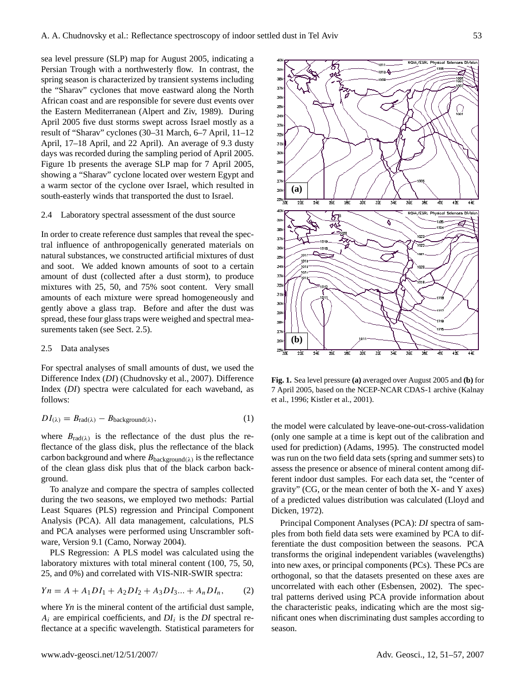sea level pressure (SLP) map for August 2005, indicating a Persian Trough with a northwesterly flow. In contrast, the spring season is characterized by transient systems including the "Sharav" cyclones that move eastward along the North African coast and are responsible for severe dust events over the Eastern Mediterranean (Alpert and Ziv, 1989). During April 2005 five dust storms swept across Israel mostly as a result of "Sharav" cyclones (30–31 March, 6–7 April, 11–12 April, 17–18 April, and 22 April). An average of 9.3 dusty days was recorded during the sampling period of April 2005. Figure 1b presents the average SLP map for 7 April 2005, showing a "Sharav" cyclone located over western Egypt and a warm sector of the cyclone over Israel, which resulted in south-easterly winds that transported the dust to Israel.

#### 2.4 Laboratory spectral assessment of the dust source

In order to create reference dust samples that reveal the spectral influence of anthropogenically generated materials on natural substances, we constructed artificial mixtures of dust and soot. We added known amounts of soot to a certain amount of dust (collected after a dust storm), to produce mixtures with 25, 50, and 75% soot content. Very small amounts of each mixture were spread homogeneously and gently above a glass trap. Before and after the dust was spread, these four glass traps were weighed and spectral measurements taken (see Sect. 2.5).

# 2.5 Data analyses

For spectral analyses of small amounts of dust, we used the Difference Index (*DI*) (Chudnovsky et al., 2007). Difference Index (*DI*) spectra were calculated for each waveband, as follows:

$$
DI_{(\lambda)} = B_{\text{rad}(\lambda)} - B_{\text{background}(\lambda)},\tag{1}
$$

where  $B_{\text{rad}(\lambda)}$  is the reflectance of the dust plus the reflectance of the glass disk, plus the reflectance of the black carbon background and where  $B_{\text{background}(\lambda)}$  is the reflectance of the clean glass disk plus that of the black carbon background.

To analyze and compare the spectra of samples collected during the two seasons, we employed two methods: Partial Least Squares (PLS) regression and Principal Component Analysis (PCA). All data management, calculations, PLS and PCA analyses were performed using Unscrambler software, Version 9.1 (Camo, Norway 2004).

PLS Regression: A PLS model was calculated using the laboratory mixtures with total mineral content (100, 75, 50, 25, and 0%) and correlated with VIS-NIR-SWIR spectra:

$$
Yn = A + A_1DI_1 + A_2DI_2 + A_3DI_3... + A_nDI_n,
$$
 (2)

where *Yn* is the mineral content of the artificial dust sample,  $A_i$  are empirical coefficients, and  $DI_i$  is the  $DI$  spectral reflectance at a specific wavelength. Statistical parameters for



**Fig. 1.** Sea level pressure **(a)** averaged over August 2005 and **(b)** for 7 April 2005, based on the NCEP-NCAR CDAS-1 archive (Kalnay et al., 1996; Kistler et al., 2001).

the model were calculated by leave-one-out-cross-validation (only one sample at a time is kept out of the calibration and used for prediction) (Adams, 1995). The constructed model was run on the two field data sets (spring and summer sets) to assess the presence or absence of mineral content among different indoor dust samples. For each data set, the "center of gravity" (CG, or the mean center of both the X- and Y axes) of a predicted values distribution was calculated (Lloyd and Dicken, 1972).

Principal Component Analyses (PCA): *DI* spectra of samples from both field data sets were examined by PCA to differentiate the dust composition between the seasons. PCA transforms the original independent variables (wavelengths) into new axes, or principal components (PCs). These PCs are orthogonal, so that the datasets presented on these axes are uncorrelated with each other (Esbensen, 2002). The spectral patterns derived using PCA provide information about the characteristic peaks, indicating which are the most significant ones when discriminating dust samples according to season.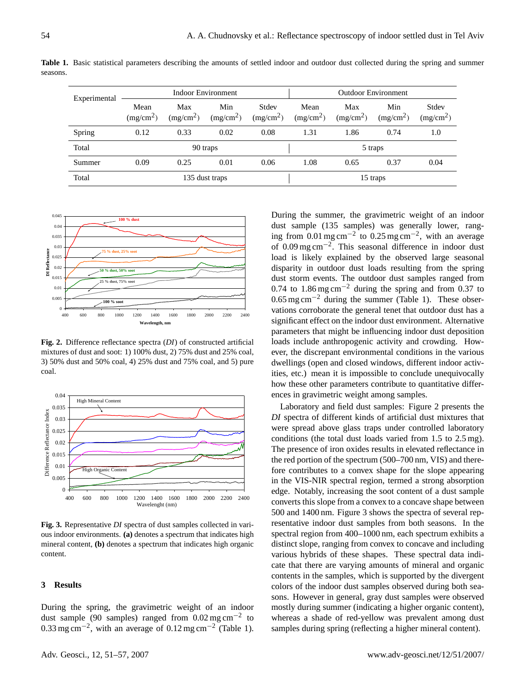|          | Experimental                                                                                                                                  | Max | $M_{\alpha x}$             | $M_{\rm in}$ | $C+div$ | Max | $M_{\alpha x}$ |  | $C+div$ |  |
|----------|-----------------------------------------------------------------------------------------------------------------------------------------------|-----|----------------------------|--------------|---------|-----|----------------|--|---------|--|
|          | Indoor Environment                                                                                                                            |     | <b>Outdoor Environment</b> |              |         |     |                |  |         |  |
| seasons. |                                                                                                                                               |     |                            |              |         |     |                |  |         |  |
|          | <b>Table 1.</b> Basic statistical parameters describing the amounts of settled indoor and outdoor dust collected during the spring and summer |     |                            |              |         |     |                |  |         |  |

| Experimental |                               |                              |                              |                                |                               |                              |                              |                                |
|--------------|-------------------------------|------------------------------|------------------------------|--------------------------------|-------------------------------|------------------------------|------------------------------|--------------------------------|
|              | Mean<br>(mg/cm <sup>2</sup> ) | Max<br>(mg/cm <sup>2</sup> ) | Min<br>(mg/cm <sup>2</sup> ) | Stdev<br>(mg/cm <sup>2</sup> ) | Mean<br>(mg/cm <sup>2</sup> ) | Max<br>(mg/cm <sup>2</sup> ) | Min<br>(mg/cm <sup>2</sup> ) | Stdev<br>(mg/cm <sup>2</sup> ) |
| Spring       | 0.12                          | 0.33                         | 0.02                         | 0.08                           | 1.31                          | 1.86                         | 0.74                         | 1.0                            |
| Total        |                               |                              | 90 traps                     |                                |                               |                              | 5 traps                      |                                |
| Summer       | 0.09                          | 0.25                         | 0.01                         | 0.06                           | 1.08                          | 0.65                         | 0.37                         | 0.04                           |
| Total        |                               |                              | 135 dust traps               |                                |                               |                              | 15 traps                     |                                |



**Fig. 2.** Difference reflectance spectra (*DI*) of constructed artificial mixtures of dust and soot: 1) 100% dust, 2) 75% dust and 25% coal, 3) 50% dust and 50% coal, 4) 25% dust and 75% coal, and 5) pure coal.



**Fig. 3.** Representative *DI* spectra of dust samples collected in various indoor environments. **(a)** denotes a spectrum that indicates high mineral content, **(b)** denotes a spectrum that indicates high organic content.

## **3 Results**

During the spring, the gravimetric weight of an indoor dust sample (90 samples) ranged from  $0.02$  mg cm<sup>-2</sup> to 0.33 mg cm<sup>-2</sup>, with an average of 0.12 mg cm<sup>-2</sup> (Table 1).

During the summer, the gravimetric weight of an indoor dust sample (135 samples) was generally lower, ranging from  $0.01$  mg cm<sup>-2</sup> to  $0.25$  mg cm<sup>-2</sup>, with an average of 0.09 mg cm−<sup>2</sup> . This seasonal difference in indoor dust load is likely explained by the observed large seasonal disparity in outdoor dust loads resulting from the spring dust storm events. The outdoor dust samples ranged from 0.74 to 1.86 mg cm−<sup>2</sup> during the spring and from 0.37 to  $0.65$  mg cm<sup>-2</sup> during the summer (Table 1). These observations corroborate the general tenet that outdoor dust has a significant effect on the indoor dust environment. Alternative parameters that might be influencing indoor dust deposition loads include anthropogenic activity and crowding. However, the discrepant environmental conditions in the various dwellings (open and closed windows, different indoor activities, etc.) mean it is impossible to conclude unequivocally how these other parameters contribute to quantitative differences in gravimetric weight among samples.

Laboratory and field dust samples: Figure 2 presents the *DI* spectra of different kinds of artificial dust mixtures that were spread above glass traps under controlled laboratory conditions (the total dust loads varied from 1.5 to 2.5 mg). The presence of iron oxides results in elevated reflectance in the red portion of the spectrum (500–700 nm, VIS) and therefore contributes to a convex shape for the slope appearing in the VIS-NIR spectral region, termed a strong absorption edge. Notably, increasing the soot content of a dust sample converts this slope from a convex to a concave shape between 500 and 1400 nm. Figure 3 shows the spectra of several representative indoor dust samples from both seasons. In the spectral region from 400–1000 nm, each spectrum exhibits a distinct slope, ranging from convex to concave and including various hybrids of these shapes. These spectral data indicate that there are varying amounts of mineral and organic contents in the samples, which is supported by the divergent colors of the indoor dust samples observed during both seasons. However in general, gray dust samples were observed mostly during summer (indicating a higher organic content), whereas a shade of red-yellow was prevalent among dust samples during spring (reflecting a higher mineral content).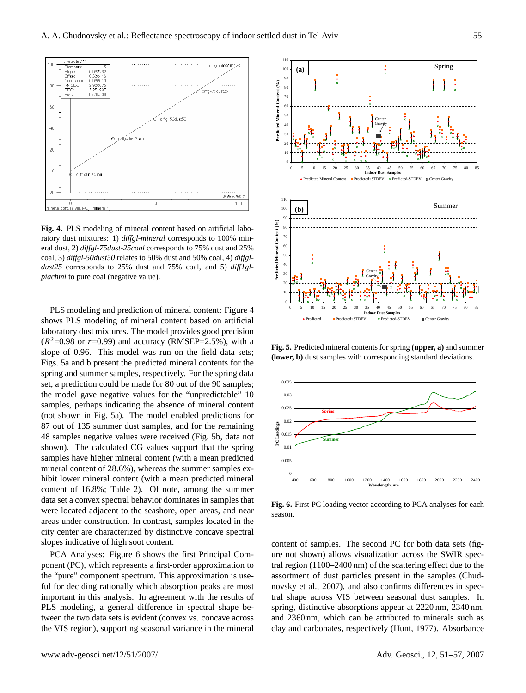

**Fig. 4.** PLS modeling of mineral content based on artificial laboratory dust mixtures: 1) *diffgl-mineral* corresponds to 100% mineral dust, 2) *diffgl-75dust-25coal* corresponds to 75% dust and 25% coal, 3) *diffgl-50dust50* relates to 50% dust and 50% coal, 4) *diffgldust25* corresponds to 25% dust and 75% coal, and 5) *diff1glpiachmi* to pure coal (negative value).

PLS modeling and prediction of mineral content: Figure 4 shows PLS modeling of mineral content based on artificial laboratory dust mixtures. The model provides good precision  $(R^2=0.98 \text{ or } r=0.99)$  and accuracy (RMSEP=2.5%), with a slope of 0.96. This model was run on the field data sets; Figs. 5a and b present the predicted mineral contents for the spring and summer samples, respectively. For the spring data set, a prediction could be made for 80 out of the 90 samples; the model gave negative values for the "unpredictable" 10 samples, perhaps indicating the absence of mineral content (not shown in Fig. 5a). The model enabled predictions for 87 out of 135 summer dust samples, and for the remaining 48 samples negative values were received (Fig. 5b, data not shown). The calculated CG values support that the spring samples have higher mineral content (with a mean predicted mineral content of 28.6%), whereas the summer samples exhibit lower mineral content (with a mean predicted mineral content of 16.8%; Table 2). Of note, among the summer data set a convex spectral behavior dominates in samples that were located adjacent to the seashore, open areas, and near areas under construction. In contrast, samples located in the city center are characterized by distinctive concave spectral slopes indicative of high soot content.

PCA Analyses: Figure 6 shows the first Principal Component (PC), which represents a first-order approximation to the "pure" component spectrum. This approximation is useful for deciding rationally which absorption peaks are most important in this analysis. In agreement with the results of PLS modeling, a general difference in spectral shape between the two data sets is evident (convex vs. concave across the VIS region), supporting seasonal variance in the mineral



**Fig. 5.** Predicted mineral contents for spring **(upper, a)** and summer **(lower, b)** dust samples with corresponding standard deviations.



**Fig. 6.** First PC loading vector according to PCA analyses for each season.

content of samples. The second PC for both data sets (figure not shown) allows visualization across the SWIR spectral region (1100–2400 nm) of the scattering effect due to the assortment of dust particles present in the samples (Chudnovsky et al., 2007), and also confirms differences in spectral shape across VIS between seasonal dust samples. In spring, distinctive absorptions appear at 2220 nm, 2340 nm, and 2360 nm, which can be attributed to minerals such as clay and carbonates, respectively (Hunt, 1977). Absorbance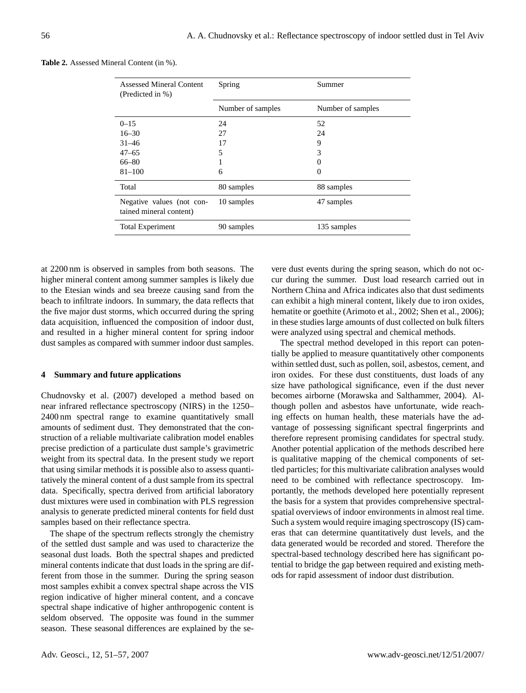| <b>Assessed Mineral Content</b><br>(Predicted in %)  | Spring            | Summer            |
|------------------------------------------------------|-------------------|-------------------|
|                                                      | Number of samples | Number of samples |
| $0 - 15$                                             | 24                | 52                |
| $16 - 30$                                            | 27                | 24                |
| $31 - 46$                                            | 17                | 9                 |
| $47 - 65$                                            | 5                 | 3                 |
| 66–80                                                |                   | $\theta$          |
| $81 - 100$                                           | 6                 | $\Omega$          |
| Total                                                | 80 samples        | 88 samples        |
| Negative values (not con-<br>tained mineral content) | 10 samples        | 47 samples        |
| <b>Total Experiment</b>                              | 90 samples        | 135 samples       |

| <b>Table 2.</b> Assessed Mineral Content (in %). |  |
|--------------------------------------------------|--|
|--------------------------------------------------|--|

at 2200 nm is observed in samples from both seasons. The higher mineral content among summer samples is likely due to the Etesian winds and sea breeze causing sand from the beach to infiltrate indoors. In summary, the data reflects that the five major dust storms, which occurred during the spring data acquisition, influenced the composition of indoor dust, and resulted in a higher mineral content for spring indoor dust samples as compared with summer indoor dust samples.

## **4 Summary and future applications**

Chudnovsky et al. (2007) developed a method based on near infrared reflectance spectroscopy (NIRS) in the 1250– 2400 nm spectral range to examine quantitatively small amounts of sediment dust. They demonstrated that the construction of a reliable multivariate calibration model enables precise prediction of a particulate dust sample's gravimetric weight from its spectral data. In the present study we report that using similar methods it is possible also to assess quantitatively the mineral content of a dust sample from its spectral data. Specifically, spectra derived from artificial laboratory dust mixtures were used in combination with PLS regression analysis to generate predicted mineral contents for field dust samples based on their reflectance spectra.

The shape of the spectrum reflects strongly the chemistry of the settled dust sample and was used to characterize the seasonal dust loads. Both the spectral shapes and predicted mineral contents indicate that dust loads in the spring are different from those in the summer. During the spring season most samples exhibit a convex spectral shape across the VIS region indicative of higher mineral content, and a concave spectral shape indicative of higher anthropogenic content is seldom observed. The opposite was found in the summer season. These seasonal differences are explained by the se-

vere dust events during the spring season, which do not occur during the summer. Dust load research carried out in Northern China and Africa indicates also that dust sediments can exhibit a high mineral content, likely due to iron oxides, hematite or goethite (Arimoto et al., 2002; Shen et al., 2006); in these studies large amounts of dust collected on bulk filters were analyzed using spectral and chemical methods.

The spectral method developed in this report can potentially be applied to measure quantitatively other components within settled dust, such as pollen, soil, asbestos, cement, and iron oxides. For these dust constituents, dust loads of any size have pathological significance, even if the dust never becomes airborne (Morawska and Salthammer, 2004). Although pollen and asbestos have unfortunate, wide reaching effects on human health, these materials have the advantage of possessing significant spectral fingerprints and therefore represent promising candidates for spectral study. Another potential application of the methods described here is qualitative mapping of the chemical components of settled particles; for this multivariate calibration analyses would need to be combined with reflectance spectroscopy. Importantly, the methods developed here potentially represent the basis for a system that provides comprehensive spectralspatial overviews of indoor environments in almost real time. Such a system would require imaging spectroscopy (IS) cameras that can determine quantitatively dust levels, and the data generated would be recorded and stored. Therefore the spectral-based technology described here has significant potential to bridge the gap between required and existing methods for rapid assessment of indoor dust distribution.